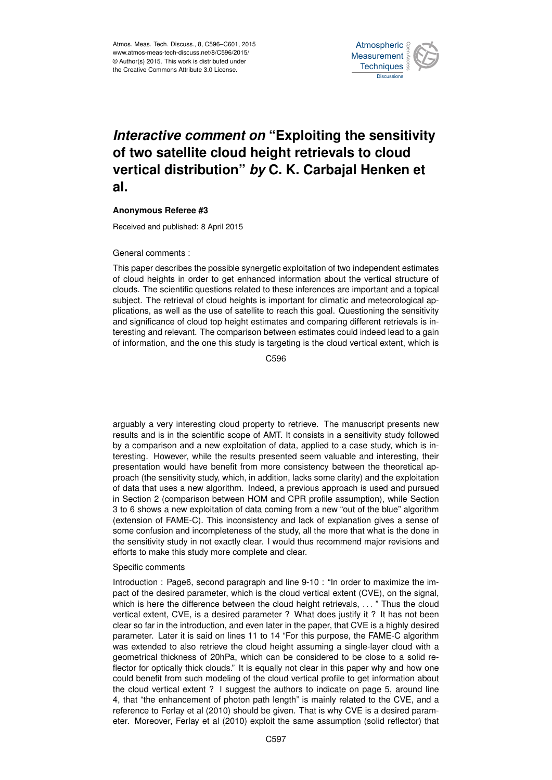

# *Interactive comment on* **"Exploiting the sensitivity of two satellite cloud height retrievals to cloud vertical distribution"** *by* **C. K. Carbajal Henken et al.**

## **Anonymous Referee #3**

Received and published: 8 April 2015

#### General comments :

This paper describes the possible synergetic exploitation of two independent estimates of cloud heights in order to get enhanced information about the vertical structure of clouds. The scientific questions related to these inferences are important and a topical subject. The retrieval of cloud heights is important for climatic and meteorological applications, as well as the use of satellite to reach this goal. Questioning the sensitivity and significance of cloud top height estimates and comparing different retrievals is interesting and relevant. The comparison between estimates could indeed lead to a gain of information, and the one this study is targeting is the cloud vertical extent, which is

C596

arguably a very interesting cloud property to retrieve. The manuscript presents new results and is in the scientific scope of AMT. It consists in a sensitivity study followed by a comparison and a new exploitation of data, applied to a case study, which is interesting. However, while the results presented seem valuable and interesting, their presentation would have benefit from more consistency between the theoretical approach (the sensitivity study, which, in addition, lacks some clarity) and the exploitation of data that uses a new algorithm. Indeed, a previous approach is used and pursued in Section 2 (comparison between HOM and CPR profile assumption), while Section 3 to 6 shows a new exploitation of data coming from a new "out of the blue" algorithm (extension of FAME-C). This inconsistency and lack of explanation gives a sense of some confusion and incompleteness of the study, all the more that what is the done in the sensitivity study in not exactly clear. I would thus recommend major revisions and efforts to make this study more complete and clear.

## Specific comments

Introduction : Page6, second paragraph and line 9-10 : "In order to maximize the impact of the desired parameter, which is the cloud vertical extent (CVE), on the signal, which is here the difference between the cloud height retrievals, ... " Thus the cloud vertical extent, CVE, is a desired parameter ? What does justify it ? It has not been clear so far in the introduction, and even later in the paper, that CVE is a highly desired parameter. Later it is said on lines 11 to 14 "For this purpose, the FAME-C algorithm was extended to also retrieve the cloud height assuming a single-layer cloud with a geometrical thickness of 20hPa, which can be considered to be close to a solid reflector for optically thick clouds." It is equally not clear in this paper why and how one could benefit from such modeling of the cloud vertical profile to get information about the cloud vertical extent ? I suggest the authors to indicate on page 5, around line 4, that "the enhancement of photon path length" is mainly related to the CVE, and a reference to Ferlay et al (2010) should be given. That is why CVE is a desired parameter. Moreover, Ferlay et al (2010) exploit the same assumption (solid reflector) that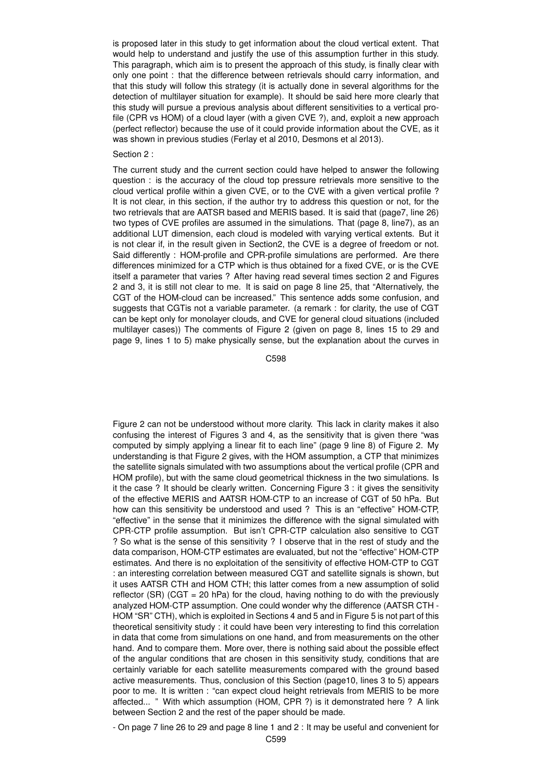is proposed later in this study to get information about the cloud vertical extent. That would help to understand and justify the use of this assumption further in this study. This paragraph, which aim is to present the approach of this study, is finally clear with only one point : that the difference between retrievals should carry information, and that this study will follow this strategy (it is actually done in several algorithms for the detection of multilayer situation for example). It should be said here more clearly that this study will pursue a previous analysis about different sensitivities to a vertical profile (CPR vs HOM) of a cloud layer (with a given CVE ?), and, exploit a new approach (perfect reflector) because the use of it could provide information about the CVE, as it was shown in previous studies (Ferlay et al 2010, Desmons et al 2013).

## Section 2 :

The current study and the current section could have helped to answer the following question : is the accuracy of the cloud top pressure retrievals more sensitive to the cloud vertical profile within a given CVE, or to the CVE with a given vertical profile ? It is not clear, in this section, if the author try to address this question or not, for the two retrievals that are AATSR based and MERIS based. It is said that (page7, line 26) two types of CVE profiles are assumed in the simulations. That (page 8, line7), as an additional LUT dimension, each cloud is modeled with varying vertical extents. But it is not clear if, in the result given in Section2, the CVE is a degree of freedom or not. Said differently : HOM-profile and CPR-profile simulations are performed. Are there differences minimized for a CTP which is thus obtained for a fixed CVE, or is the CVE itself a parameter that varies ? After having read several times section 2 and Figures 2 and 3, it is still not clear to me. It is said on page 8 line 25, that "Alternatively, the CGT of the HOM-cloud can be increased." This sentence adds some confusion, and suggests that CGTis not a variable parameter. (a remark : for clarity, the use of CGT can be kept only for monolayer clouds, and CVE for general cloud situations (included multilayer cases)) The comments of Figure 2 (given on page 8, lines 15 to 29 and page 9, lines 1 to 5) make physically sense, but the explanation about the curves in

C598

Figure 2 can not be understood without more clarity. This lack in clarity makes it also confusing the interest of Figures 3 and 4, as the sensitivity that is given there "was computed by simply applying a linear fit to each line" (page 9 line 8) of Figure 2. My understanding is that Figure 2 gives, with the HOM assumption, a CTP that minimizes the satellite signals simulated with two assumptions about the vertical profile (CPR and HOM profile), but with the same cloud geometrical thickness in the two simulations. Is it the case ? It should be clearly written. Concerning Figure 3 : it gives the sensitivity of the effective MERIS and AATSR HOM-CTP to an increase of CGT of 50 hPa. But how can this sensitivity be understood and used ? This is an "effective" HOM-CTP, "effective" in the sense that it minimizes the difference with the signal simulated with CPR-CTP profile assumption. But isn't CPR-CTP calculation also sensitive to CGT ? So what is the sense of this sensitivity ? I observe that in the rest of study and the data comparison, HOM-CTP estimates are evaluated, but not the "effective" HOM-CTP estimates. And there is no exploitation of the sensitivity of effective HOM-CTP to CGT : an interesting correlation between measured CGT and satellite signals is shown, but it uses AATSR CTH and HOM CTH; this latter comes from a new assumption of solid reflector (SR) (CGT = 20 hPa) for the cloud, having nothing to do with the previously analyzed HOM-CTP assumption. One could wonder why the difference (AATSR CTH - HOM "SR" CTH), which is exploited in Sections 4 and 5 and in Figure 5 is not part of this theoretical sensitivity study : it could have been very interesting to find this correlation in data that come from simulations on one hand, and from measurements on the other hand. And to compare them. More over, there is nothing said about the possible effect of the angular conditions that are chosen in this sensitivity study, conditions that are certainly variable for each satellite measurements compared with the ground based active measurements. Thus, conclusion of this Section (page10, lines 3 to 5) appears poor to me. It is written : "can expect cloud height retrievals from MERIS to be more affected... " With which assumption (HOM, CPR ?) is it demonstrated here ? A link between Section 2 and the rest of the paper should be made.

- On page 7 line 26 to 29 and page 8 line 1 and 2 : It may be useful and convenient for